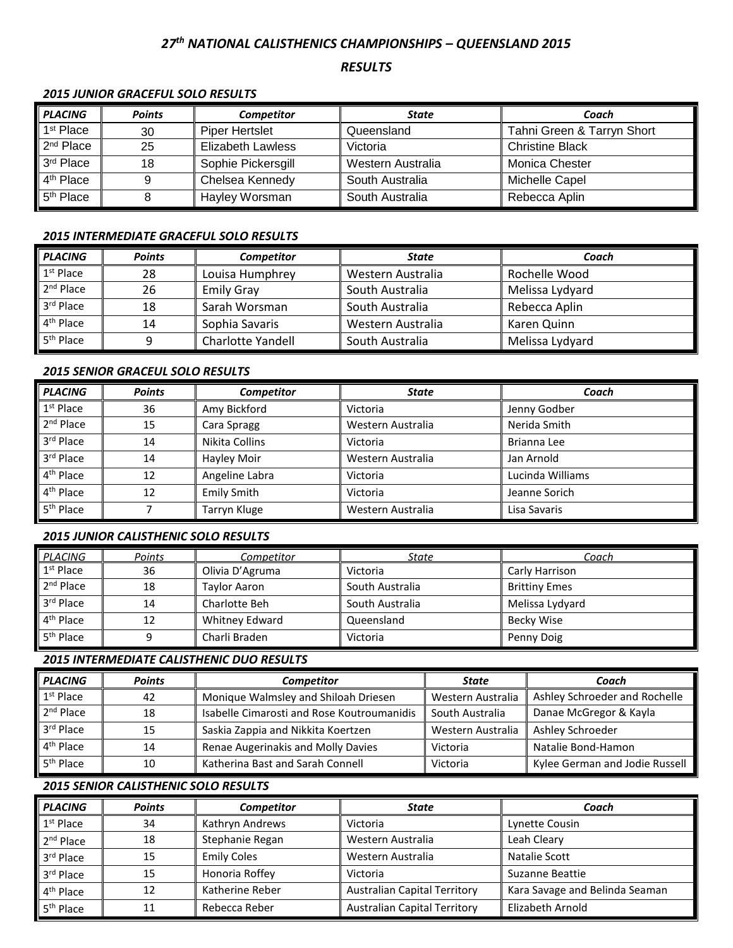# *27 th NATIONAL CALISTHENICS CHAMPIONSHIPS – QUEENSLAND 2015*

# *RESULTS*

# *2015 JUNIOR GRACEFUL SOLO RESULTS*

| <b>PLACING</b>        | <b>Points</b> | <b>Competitor</b>  | State             | Coach                      |
|-----------------------|---------------|--------------------|-------------------|----------------------------|
| 1 <sup>st</sup> Place | 30            | Piper Hertslet     | Queensland        | Tahni Green & Tarryn Short |
| 2 <sup>nd</sup> Place | 25            | Elizabeth Lawless  | Victoria          | <b>Christine Black</b>     |
| 3 <sup>rd</sup> Place | 18            | Sophie Pickersgill | Western Australia | Monica Chester             |
| 4 <sup>th</sup> Place | 9             | Chelsea Kennedy    | South Australia   | Michelle Capel             |
| 5 <sup>th</sup> Place |               | Hayley Worsman     | South Australia   | Rebecca Aplin              |

## *2015 INTERMEDIATE GRACEFUL SOLO RESULTS*

| <b>PLACING</b>        | <b>Points</b> | <b>Competitor</b> | State             | Coach           |
|-----------------------|---------------|-------------------|-------------------|-----------------|
| 1 <sup>st</sup> Place | 28            | Louisa Humphrey   | Western Australia | Rochelle Wood   |
| $2nd$ Place           | 26            | <b>Emily Gray</b> | South Australia   | Melissa Lydyard |
| 3rd Place             | 18            | Sarah Worsman     | South Australia   | Rebecca Aplin   |
| 4 <sup>th</sup> Place | 14            | Sophia Savaris    | Western Australia | Karen Quinn     |
| 5 <sup>th</sup> Place | ٩             | Charlotte Yandell | South Australia   | Melissa Lydyard |

## *2015 SENIOR GRACEUL SOLO RESULTS*

| <b>PLACING</b>        | <b>Points</b> | <b>Competitor</b>  | State             | Coach            |
|-----------------------|---------------|--------------------|-------------------|------------------|
| $1st$ Place           | 36            | Amy Bickford       | Victoria          | Jenny Godber     |
| 2 <sup>nd</sup> Place | 15            | Cara Spragg        | Western Australia | Nerida Smith     |
| 3rd Place             | 14            | Nikita Collins     | Victoria          | Brianna Lee      |
| 3rd Place             | 14            | Hayley Moir        | Western Australia | Jan Arnold       |
| 4 <sup>th</sup> Place | 12            | Angeline Labra     | Victoria          | Lucinda Williams |
| 4 <sup>th</sup> Place | 12            | <b>Emily Smith</b> | Victoria          | Jeanne Sorich    |
| 5 <sup>th</sup> Place |               | Tarryn Kluge       | Western Australia | Lisa Savaris     |

# *2015 JUNIOR CALISTHENIC SOLO RESULTS*

| PLACING               | Points | Competitor          | State           | Coach                |
|-----------------------|--------|---------------------|-----------------|----------------------|
| $1st$ Place           | 36     | Olivia D'Agruma     | Victoria        | Carly Harrison       |
| 2 <sup>nd</sup> Place | 18     | <b>Taylor Aaron</b> | South Australia | <b>Brittiny Emes</b> |
| 3rd Place             | 14     | Charlotte Beh       | South Australia | Melissa Lydyard      |
| 4 <sup>th</sup> Place | 12     | Whitney Edward      | Queensland      | Becky Wise           |
| 5 <sup>th</sup> Place |        | Charli Braden       | Victoria        | Penny Doig           |

#### *2015 INTERMEDIATE CALISTHENIC DUO RESULTS*

| <b>PLACING</b>        | <b>Points</b> | <b>Competitor</b>                                         | State             | Coach                          |
|-----------------------|---------------|-----------------------------------------------------------|-------------------|--------------------------------|
| $1st$ Place           | 42            | Monique Walmsley and Shiloah Driesen<br>Western Australia |                   | Ashley Schroeder and Rochelle  |
| $2nd$ Place           | 18            | Isabelle Cimarosti and Rose Koutroumanidis                | South Australia   | Danae McGregor & Kayla         |
| 3rd Place             | 15            | Saskia Zappia and Nikkita Koertzen                        | Western Australia | Ashley Schroeder               |
| 4 <sup>th</sup> Place | 14            | Renae Augerinakis and Molly Davies                        | Victoria          | Natalie Bond-Hamon             |
| 5 <sup>th</sup> Place | 10            | Katherina Bast and Sarah Connell                          | Victoria          | Kylee German and Jodie Russell |

## *2015 SENIOR CALISTHENIC SOLO RESULTS*

| <b>PLACING</b>        | <b>Points</b> | <b>Competitor</b>  | <b>State</b>                        | Coach                          |
|-----------------------|---------------|--------------------|-------------------------------------|--------------------------------|
| $1st$ Place           | 34            | Kathryn Andrews    | Victoria                            | Lynette Cousin                 |
| 2 <sup>nd</sup> Place | 18            | Stephanie Regan    | Western Australia                   | Leah Cleary                    |
| 3rd Place             | 15            | <b>Emily Coles</b> | Western Australia                   | Natalie Scott                  |
| 3rd Place             | 15            | Honoria Roffey     | Victoria                            | Suzanne Beattie                |
| 4 <sup>th</sup> Place | 12            | Katherine Reber    | <b>Australian Capital Territory</b> | Kara Savage and Belinda Seaman |
| 5 <sup>th</sup> Place | 11            | Rebecca Reber      | <b>Australian Capital Territory</b> | Elizabeth Arnold               |